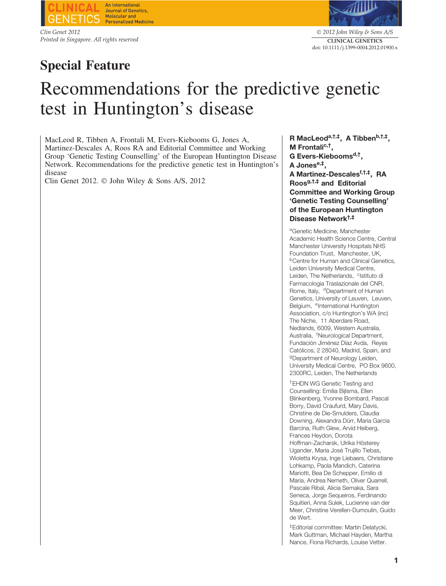**An International Journal of Genetics Molecular and Personalized Medicine** 

*Clin Genet 2012 Printed in Singapore. All rights reserved*

# **Special Feature**



© *2012 John Wiley & Sons A/S* **CLINICAL GENETICS** doi: 10.1111/j.1399-0004.2012.01900.x

# Recommendations for the predictive genetic test in Huntington's disease

MacLeod R, Tibben A, Frontali M, Evers-Kiebooms G, Jones A, Martinez-Descales A, Roos RA and Editorial Committee and Working Group 'Genetic Testing Counselling' of the European Huntington Disease Network. Recommendations for the predictive genetic test in Huntington's disease

Clin Genet 2012. © John Wiley & Sons A/S, 2012

**R MacLeoda,†,‡, A Tibbenb,†,‡, M Frontalic,†, G Evers-Kieboomsd,†, A Jonese,‡, A Martinez-Descalesf,†,‡, RA Roosg,†,‡ and Editorial Committee and Working Group 'Genetic Testing Counselling' of the European Huntington Disease Network†,‡**

aGenetic Medicine, Manchester Academic Health Science Centre, Central Manchester University Hospitals NHS Foundation Trust, Manchester, UK, **bCentre for Human and Clinical Genetics,** Leiden University Medical Centre, Leiden, The Netherlands, <sup>c</sup>Istituto di Farmacologia Traslazionale del CNR, Rome, Italy, <sup>d</sup>Department of Human Genetics, University of Leuven, Leuven, Belgium, <sup>e</sup>International Huntington Association, c/o Huntington's WA (inc) The Niche, 11 Aberdare Road, Nedlands, 6009, Western Australia, Australia, <sup>f</sup> Neurological Department, Fundación Jiménez Díaz Avda, Reyes Católicos, 2 28040, Madrid, Spain, and <sup>g</sup>Department of Neurology Leiden, University Medical Centre, PO Box 9600, 2300RC, Leiden, The Netherlands

†EHDN WG Genetic Testing and Counselling: Emilia Bijlsma, Ellen Blinkenberg, Yvonne Bombard, Pascal Borry, David Craufurd, Mary Davis, Christine de Die-Smulders, Claudia Downing, Alexandra Dürr, Maria Garcia Barcina, Ruth Glew, Arvid Heiberg, Frances Heydon, Dorota Hoffman-Zacharsk, Ulrika Hösterey Ugander, Maria José Trujillo Tiebas, Wioletta Krysa, Inge Liebaers, Christiane Lohkamp, Paola Mandich, Caterina Mariotti, Bea De Schepper, Emilio di Maria, Andrea Nemeth, Oliver Quarrell, Pascale Ribaï, Alicia Semaka, Sara Seneca, Jorge Sequeiros, Ferdinando Squitieri, Anna Sulek, Lucienne van der Meer, Christine Verellen-Dumoulin, Guido de Wert.

‡Editorial committee: Martin Delatycki, Mark Guttman, Michael Hayden, Martha Nance, Fiona Richards, Louise Vetter.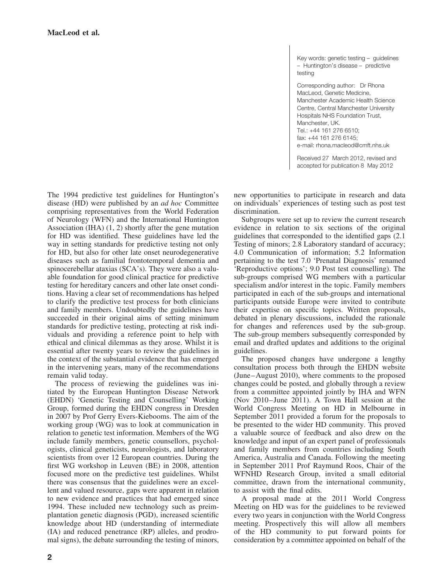Key words: genetic testing – guidelines – Huntington's disease – predictive testing

Corresponding author: Dr Rhona MacLeod, Genetic Medicine, Manchester Academic Health Science Centre, Central Manchester University Hospitals NHS Foundation Trust, Manchester, UK. Tel.: +44 161 276 6510; fax: +44 161 276 6145; e-mail: rhona.macleod@cmft.nhs.uk

Received 27 March 2012, revised and accepted for publication 8 May 2012

The 1994 predictive test guidelines for Huntington's disease (HD) were published by an *ad hoc* Committee comprising representatives from the World Federation of Neurology (WFN) and the International Huntington Association (IHA) (1, 2) shortly after the gene mutation for HD was identified. These guidelines have led the way in setting standards for predictive testing not only for HD, but also for other late onset neurodegenerative diseases such as familial frontotemporal dementia and spinocerebellar ataxias (SCA's). They were also a valuable foundation for good clinical practice for predictive testing for hereditary cancers and other late onset conditions. Having a clear set of recommendations has helped to clarify the predictive test process for both clinicians and family members. Undoubtedly the guidelines have succeeded in their original aims of setting minimum standards for predictive testing, protecting at risk individuals and providing a reference point to help with ethical and clinical dilemmas as they arose. Whilst it is essential after twenty years to review the guidelines in the context of the substantial evidence that has emerged in the intervening years, many of the recommendations remain valid today.

The process of reviewing the guidelines was initiated by the European Huntington Disease Network (EHDN) 'Genetic Testing and Counselling' Working Group, formed during the EHDN congress in Dresden in 2007 by Prof Gerry Evers-Kiebooms. The aim of the working group (WG) was to look at communication in relation to genetic test information. Members of the WG include family members, genetic counsellors, psychologists, clinical geneticists, neurologists, and laboratory scientists from over 12 European countries. During the first WG workshop in Leuven (BE) in 2008, attention focused more on the predictive test guidelines. Whilst there was consensus that the guidelines were an excellent and valued resource, gaps were apparent in relation to new evidence and practices that had emerged since 1994. These included new technology such as preimplantation genetic diagnosis (PGD), increased scientific knowledge about HD (understanding of intermediate (IA) and reduced penetrance (RP) alleles, and prodromal signs), the debate surrounding the testing of minors,

new opportunities to participate in research and data on individuals' experiences of testing such as post test discrimination.

Subgroups were set up to review the current research evidence in relation to six sections of the original guidelines that corresponded to the identified gaps (2.1 Testing of minors; 2.8 Laboratory standard of accuracy; 4.0 Communication of information; 5.2 Information pertaining to the test 7.0 'Prenatal Diagnosis' renamed 'Reproductive options'; 9.0 Post test counselling). The sub-groups comprised WG members with a particular specialism and/or interest in the topic. Family members participated in each of the sub-groups and international participants outside Europe were invited to contribute their expertise on specific topics. Written proposals, debated in plenary discussions, included the rationale for changes and references used by the sub-group. The sub-group members subsequently corresponded by email and drafted updates and additions to the original guidelines.

The proposed changes have undergone a lengthy consultation process both through the EHDN website (June–August 2010), where comments to the proposed changes could be posted, and globally through a review from a committee appointed jointly by IHA and WFN (Nov 2010–June 2011). A Town Hall session at the World Congress Meeting on HD in Melbourne in September 2011 provided a forum for the proposals to be presented to the wider HD community. This proved a valuable source of feedback and also drew on the knowledge and input of an expert panel of professionals and family members from countries including South America, Australia and Canada. Following the meeting in September 2011 Prof Raymund Roos, Chair of the WFNHD Research Group, invited a small editorial committee, drawn from the international community, to assist with the final edits.

A proposal made at the 2011 World Congress Meeting on HD was for the guidelines to be reviewed every two years in conjunction with the World Congress meeting. Prospectively this will allow all members of the HD community to put forward points for consideration by a committee appointed on behalf of the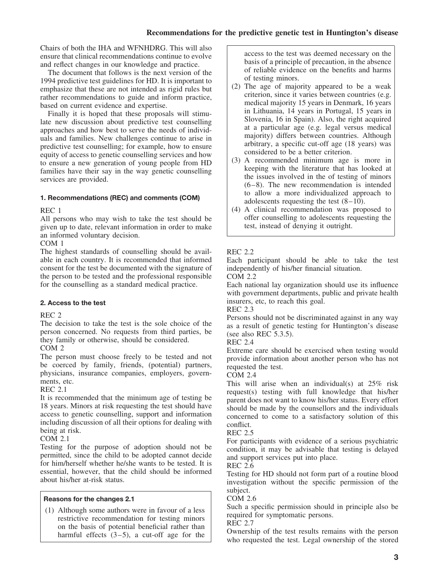Chairs of both the IHA and WFNHDRG. This will also ensure that clinical recommendations continue to evolve and reflect changes in our knowledge and practice.

The document that follows is the next version of the 1994 predictive test guidelines for HD. It is important to emphasize that these are not intended as rigid rules but rather recommendations to guide and inform practice, based on current evidence and expertise.

Finally it is hoped that these proposals will stimulate new discussion about predictive test counselling approaches and how best to serve the needs of individuals and families. New challenges continue to arise in predictive test counselling; for example, how to ensure equity of access to genetic counselling services and how to ensure a new generation of young people from HD families have their say in the way genetic counselling services are provided.

# **1. Recommendations (REC) and comments (COM)**

# REC 1

All persons who may wish to take the test should be given up to date, relevant information in order to make an informed voluntary decision.

COM 1

The highest standards of counselling should be available in each country. It is recommended that informed consent for the test be documented with the signature of the person to be tested and the professional responsible for the counselling as a standard medical practice.

#### **2. Access to the test**

REC 2

The decision to take the test is the sole choice of the person concerned. No requests from third parties, be they family or otherwise, should be considered.

# COM 2

The person must choose freely to be tested and not be coerced by family, friends, (potential) partners, physicians, insurance companies, employers, governments, etc.

#### REC 2.1

It is recommended that the minimum age of testing be 18 years. Minors at risk requesting the test should have access to genetic counselling, support and information including discussion of all their options for dealing with being at risk.

#### COM 2.1

Testing for the purpose of adoption should not be permitted, since the child to be adopted cannot decide for him/herself whether he/she wants to be tested. It is essential, however, that the child should be informed about his/her at-risk status.

#### **Reasons for the changes 2.1**

(1) Although some authors were in favour of a less restrictive recommendation for testing minors on the basis of potential beneficial rather than harmful effects  $(3-5)$ , a cut-off age for the

access to the test was deemed necessary on the basis of a principle of precaution, in the absence of reliable evidence on the benefits and harms of testing minors.

- (2) The age of majority appeared to be a weak criterion, since it varies between countries (e.g. medical majority 15 years in Denmark, 16 years in Lithuania, 14 years in Portugal, 15 years in Slovenia, 16 in Spain). Also, the right acquired at a particular age (e.g. legal versus medical majority) differs between countries. Although arbitrary, a specific cut-off age (18 years) was considered to be a better criterion.
- (3) A recommended minimum age is more in keeping with the literature that has looked at the issues involved in the of testing of minors (6–8). The new recommendation is intended to allow a more individualized approach to adolescents requesting the test (8–10).
- (4) A clinical recommendation was proposed to offer counselling to adolescents requesting the test, instead of denying it outright.

# REC 2.2

Each participant should be able to take the test independently of his/her financial situation.

COM 2.2

Each national lay organization should use its influence with government departments, public and private health insurers, etc, to reach this goal.

REC 2.3

Persons should not be discriminated against in any way as a result of genetic testing for Huntington's disease (see also REC 5.3.5).

REC 2.4

Extreme care should be exercised when testing would provide information about another person who has not requested the test.

COM 2.4

This will arise when an individual(s) at 25% risk request(s) testing with full knowledge that his/her parent does not want to know his/her status. Every effort should be made by the counsellors and the individuals concerned to come to a satisfactory solution of this conflict.

#### REC 2.5

For participants with evidence of a serious psychiatric condition, it may be advisable that testing is delayed and support services put into place.

REC 2.6

Testing for HD should not form part of a routine blood investigation without the specific permission of the subject.

COM 2.6

Such a specific permission should in principle also be required for symptomatic persons.

REC 2.7

Ownership of the test results remains with the person who requested the test. Legal ownership of the stored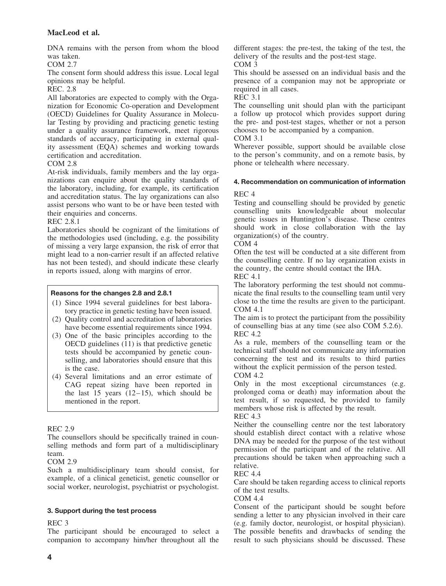DNA remains with the person from whom the blood was taken.

COM 2.7

The consent form should address this issue. Local legal opinions may be helpful.

# REC. 2.8

All laboratories are expected to comply with the Organization for Economic Co-operation and Development (OECD) Guidelines for Quality Assurance in Molecular Testing by providing and practicing genetic testing under a quality assurance framework, meet rigorous standards of accuracy, participating in external quality assessment (EQA) schemes and working towards certification and accreditation.

# COM 2.8

At-risk individuals, family members and the lay organizations can enquire about the quality standards of the laboratory, including, for example, its certification and accreditation status. The lay organizations can also assist persons who want to be or have been tested with their enquiries and concerns.

# REC 2.8.1

Laboratories should be cognizant of the limitations of the methodologies used (including, e.g. the possibility of missing a very large expansion, the risk of error that might lead to a non-carrier result if an affected relative has not been tested), and should indicate these clearly in reports issued, along with margins of error.

# **Reasons for the changes 2.8 and 2.8.1**

(1) Since 1994 several guidelines for best laboratory practice in genetic testing have been issued.

- (2) Quality control and accreditation of laboratories have become essential requirements since 1994.
- (3) One of the basic principles according to the OECD guidelines (11) is that predictive genetic tests should be accompanied by genetic counselling, and laboratories should ensure that this is the case.
- (4) Several limitations and an error estimate of CAG repeat sizing have been reported in the last 15 years  $(12-15)$ , which should be mentioned in the report.

#### REC 2.9

The counsellors should be specifically trained in counselling methods and form part of a multidisciplinary team.

#### COM 2.9

Such a multidisciplinary team should consist, for example, of a clinical geneticist, genetic counsellor or social worker, neurologist, psychiatrist or psychologist.

#### **3. Support during the test process**

REC 3

The participant should be encouraged to select a companion to accompany him/her throughout all the different stages: the pre-test, the taking of the test, the delivery of the results and the post-test stage. COM 3

This should be assessed on an individual basis and the presence of a companion may not be appropriate or required in all cases.

REC 3.1

The counselling unit should plan with the participant a follow up protocol which provides support during the pre- and post-test stages, whether or not a person chooses to be accompanied by a companion.

COM 3.1

Wherever possible, support should be available close to the person's community, and on a remote basis, by phone or telehealth where necessary.

# **4. Recommendation on communication of information**

#### REC 4

Testing and counselling should be provided by genetic counselling units knowledgeable about molecular genetic issues in Huntington's disease. These centres should work in close collaboration with the lay organization(s) of the country.

COM 4

Often the test will be conducted at a site different from the counselling centre. If no lay organization exists in the country, the centre should contact the IHA. REC 4.1

The laboratory performing the test should not communicate the final results to the counselling team until very close to the time the results are given to the participant. COM 4.1

The aim is to protect the participant from the possibility of counselling bias at any time (see also COM 5.2.6). REC 4.2

As a rule, members of the counselling team or the technical staff should not communicate any information concerning the test and its results to third parties without the explicit permission of the person tested. COM 4.2

Only in the most exceptional circumstances (e.g. prolonged coma or death) may information about the test result, if so requested, be provided to family members whose risk is affected by the result.

REC 4.3

Neither the counselling centre nor the test laboratory should establish direct contact with a relative whose DNA may be needed for the purpose of the test without permission of the participant and of the relative. All precautions should be taken when approaching such a relative.

REC 4.4

Care should be taken regarding access to clinical reports of the test results.

COM 4.4

Consent of the participant should be sought before sending a letter to any physician involved in their care (e.g. family doctor, neurologist, or hospital physician). The possible benefits and drawbacks of sending the result to such physicians should be discussed. These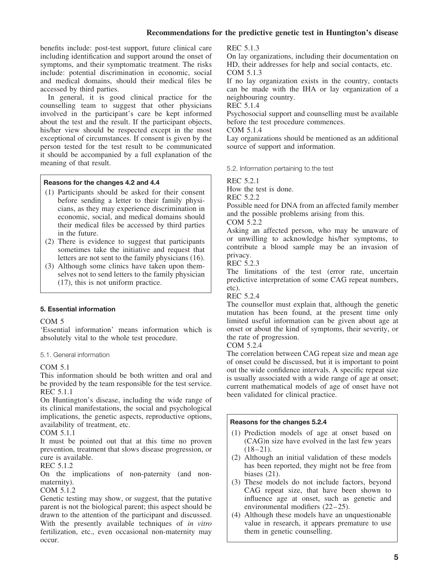benefits include: post-test support, future clinical care including identification and support around the onset of symptoms, and their symptomatic treatment. The risks include: potential discrimination in economic, social and medical domains, should their medical files be accessed by third parties.

In general, it is good clinical practice for the counselling team to suggest that other physicians involved in the participant's care be kept informed about the test and the result. If the participant objects, his/her view should be respected except in the most exceptional of circumstances. If consent is given by the person tested for the test result to be communicated it should be accompanied by a full explanation of the meaning of that result.

# **Reasons for the changes 4.2 and 4.4**

- (1) Participants should be asked for their consent before sending a letter to their family physicians, as they may experience discrimination in economic, social, and medical domains should their medical files be accessed by third parties in the future.
- (2) There is evidence to suggest that participants sometimes take the initiative and request that letters are not sent to the family physicians (16).
- (3) Although some clinics have taken upon themselves not to send letters to the family physician (17), this is not uniform practice.

#### **5. Essential information**

#### COM 5

'Essential information' means information which is absolutely vital to the whole test procedure.

#### 5.1. General information

#### COM 5.1

This information should be both written and oral and be provided by the team responsible for the test service. REC 5.1.1

On Huntington's disease, including the wide range of its clinical manifestations, the social and psychological implications, the genetic aspects, reproductive options, availability of treatment, etc.

#### COM 5.1.1

It must be pointed out that at this time no proven prevention, treatment that slows disease progression, or cure is available.

REC 5.1.2

On the implications of non-paternity (and nonmaternity).

#### COM 5.1.2

Genetic testing may show, or suggest, that the putative parent is not the biological parent; this aspect should be drawn to the attention of the participant and discussed. With the presently available techniques of *in vitro* fertilization, etc., even occasional non-maternity may occur.

REC 5.1.3

On lay organizations, including their documentation on HD, their addresses for help and social contacts, etc. COM 5.1.3

If no lay organization exists in the country, contacts can be made with the IHA or lay organization of a neighbouring country.

REC 5.1.4

Psychosocial support and counselling must be available before the test procedure commences.

COM 5.1.4

Lay organizations should be mentioned as an additional source of support and information.

5.2. Information pertaining to the test

REC 5.2.1

How the test is done.

REC 5.2.2

Possible need for DNA from an affected family member and the possible problems arising from this.

COM 5.2.2

Asking an affected person, who may be unaware of or unwilling to acknowledge his/her symptoms, to contribute a blood sample may be an invasion of privacy.

REC 5.2.3

The limitations of the test (error rate, uncertain predictive interpretation of some CAG repeat numbers, etc).

REC 5.2.4

The counsellor must explain that, although the genetic mutation has been found, at the present time only limited useful information can be given about age at onset or about the kind of symptoms, their severity, or the rate of progression.

COM 5.2.4

The correlation between CAG repeat size and mean age of onset could be discussed, but it is important to point out the wide confidence intervals. A specific repeat size is usually associated with a wide range of age at onset; current mathematical models of age of onset have not been validated for clinical practice.

#### **Reasons for the changes 5.2.4**

- (1) Prediction models of age at onset based on (CAG)n size have evolved in the last few years  $(18-21)$ .
- (2) Although an initial validation of these models has been reported, they might not be free from biases (21).
- (3) These models do not include factors, beyond CAG repeat size, that have been shown to influence age at onset, such as genetic and environmental modifiers (22–25).
- (4) Although these models have an unquestionable value in research, it appears premature to use them in genetic counselling.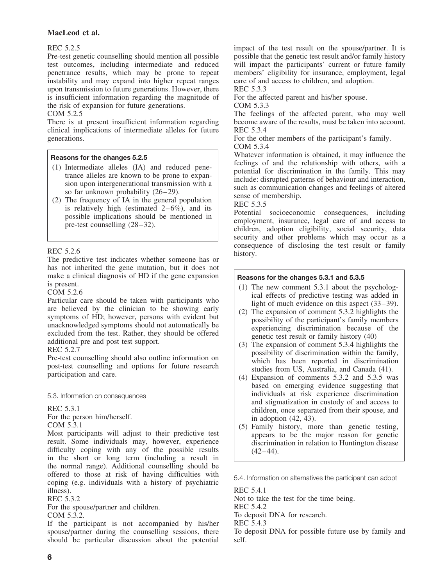#### REC 5.2.5

Pre-test genetic counselling should mention all possible test outcomes, including intermediate and reduced penetrance results, which may be prone to repeat instability and may expand into higher repeat ranges upon transmission to future generations. However, there is insufficient information regarding the magnitude of the risk of expansion for future generations.

#### COM 5.2.5

There is at present insufficient information regarding clinical implications of intermediate alleles for future generations.

# **Reasons for the changes 5.2.5**

- (1) Intermediate alleles (IA) and reduced penetrance alleles are known to be prone to expansion upon intergenerational transmission with a so far unknown probability (26–29).
- (2) The frequency of IA in the general population is relatively high (estimated  $2-6\%$ ), and its possible implications should be mentioned in pre-test counselling (28–32).

# REC 5.2.6

The predictive test indicates whether someone has or has not inherited the gene mutation, but it does not make a clinical diagnosis of HD if the gene expansion is present.

#### COM 5.2.6

Particular care should be taken with participants who are believed by the clinician to be showing early symptoms of HD; however, persons with evident but unacknowledged symptoms should not automatically be excluded from the test. Rather, they should be offered additional pre and post test support.

#### REC 5.2.7

Pre-test counselling should also outline information on post-test counselling and options for future research participation and care.

5.3. Information on consequences

#### REC 5.3.1

For the person him/herself. COM 5.3.1

Most participants will adjust to their predictive test result. Some individuals may, however, experience difficulty coping with any of the possible results in the short or long term (including a result in the normal range). Additional counselling should be offered to those at risk of having difficulties with coping (e.g. individuals with a history of psychiatric illness).

#### REC 5.3.2

For the spouse/partner and children.

COM 5.3.2.

If the participant is not accompanied by his/her spouse/partner during the counselling sessions, there should be particular discussion about the potential impact of the test result on the spouse/partner. It is possible that the genetic test result and/or family history will impact the participants' current or future family members' eligibility for insurance, employment, legal care of and access to children, and adoption. REC 5.3.3

For the affected parent and his/her spouse.

COM 5.3.3

The feelings of the affected parent, who may well become aware of the results, must be taken into account. REC 5.3.4

For the other members of the participant's family. COM 5.3.4

Whatever information is obtained, it may influence the feelings of and the relationship with others, with a potential for discrimination in the family. This may include: disrupted patterns of behaviour and interaction, such as communication changes and feelings of altered sense of membership.

#### REC 5.3.5

Potential socioeconomic consequences, including employment, insurance, legal care of and access to children, adoption eligibility, social security, data security and other problems which may occur as a consequence of disclosing the test result or family history.

#### **Reasons for the changes 5.3.1 and 5.3.5**

- (1) The new comment 5.3.1 about the psychological effects of predictive testing was added in light of much evidence on this aspect (33–39).
- (2) The expansion of comment 5.3.2 highlights the possibility of the participant's family members experiencing discrimination because of the genetic test result or family history (40)
- (3) The expansion of comment 5.3.4 highlights the possibility of discrimination within the family, which has been reported in discrimination studies from US, Australia, and Canada (41).
- (4) Expansion of comments 5.3.2 and 5.3.5 was based on emerging evidence suggesting that individuals at risk experience discrimination and stigmatization in custody of and access to children, once separated from their spouse, and in adoption (42, 43).
- (5) Family history, more than genetic testing, appears to be the major reason for genetic discrimination in relation to Huntington disease  $(42-44)$ .

5.4. Information on alternatives the participant can adopt

REC 5.4.1

Not to take the test for the time being.

REC 5.4.2 To deposit DNA for research.

REC 5.4.3

To deposit DNA for possible future use by family and self.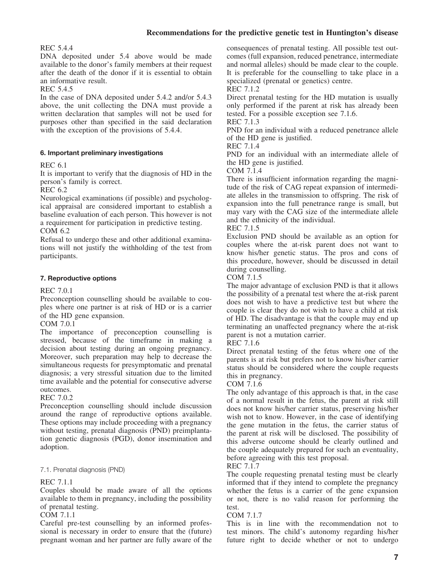# REC 5.4.4

DNA deposited under 5.4 above would be made available to the donor's family members at their request after the death of the donor if it is essential to obtain an informative result.

#### REC 5.4.5

In the case of DNA deposited under 5.4.2 and/or 5.4.3 above, the unit collecting the DNA must provide a written declaration that samples will not be used for purposes other than specified in the said declaration with the exception of the provisions of 5.4.4.

# **6. Important preliminary investigations**

#### REC 6.1

It is important to verify that the diagnosis of HD in the person's family is correct.

REC 6.2

Neurological examinations (if possible) and psychological appraisal are considered important to establish a baseline evaluation of each person. This however is not a requirement for participation in predictive testing. COM 6.2

Refusal to undergo these and other additional examinations will not justify the withholding of the test from participants.

# **7. Reproductive options**

#### REC 7.0.1

Preconception counselling should be available to couples where one partner is at risk of HD or is a carrier of the HD gene expansion.

# COM 7.0.1

The importance of preconception counselling is stressed, because of the timeframe in making a decision about testing during an ongoing pregnancy. Moreover, such preparation may help to decrease the simultaneous requests for presymptomatic and prenatal diagnosis; a very stressful situation due to the limited time available and the potential for consecutive adverse outcomes.

REC 7.0.2

Preconception counselling should include discussion around the range of reproductive options available. These options may include proceeding with a pregnancy without testing, prenatal diagnosis (PND) preimplantation genetic diagnosis (PGD), donor insemination and adoption.

#### 7.1. Prenatal diagnosis (PND)

#### REC 7.1.1

Couples should be made aware of all the options available to them in pregnancy, including the possibility of prenatal testing.

#### COM 7.1.1

Careful pre-test counselling by an informed professional is necessary in order to ensure that the (future) pregnant woman and her partner are fully aware of the consequences of prenatal testing. All possible test outcomes (full expansion, reduced penetrance, intermediate and normal alleles) should be made clear to the couple. It is preferable for the counselling to take place in a specialized (prenatal or genetics) centre. REC 7.1.2

Direct prenatal testing for the HD mutation is usually only performed if the parent at risk has already been tested. For a possible exception see 7.1.6. REC 7.1.3

PND for an individual with a reduced penetrance allele of the HD gene is justified.

REC 7.1.4

PND for an individual with an intermediate allele of the HD gene is justified.

COM 7.1.4

There is insufficient information regarding the magnitude of the risk of CAG repeat expansion of intermediate alleles in the transmission to offspring. The risk of expansion into the full penetrance range is small, but may vary with the CAG size of the intermediate allele and the ethnicity of the individual.

REC 7.1.5

Exclusion PND should be available as an option for couples where the at-risk parent does not want to know his/her genetic status. The pros and cons of this procedure, however, should be discussed in detail during counselling.

COM 7.1.5

The major advantage of exclusion PND is that it allows the possibility of a prenatal test where the at-risk parent does not wish to have a predictive test but where the couple is clear they do not wish to have a child at risk of HD. The disadvantage is that the couple may end up terminating an unaffected pregnancy where the at-risk parent is not a mutation carrier.

REC 7.1.6

Direct prenatal testing of the fetus where one of the parents is at risk but prefers not to know his/her carrier status should be considered where the couple requests this in pregnancy.

#### COM 7.1.6

The only advantage of this approach is that, in the case of a normal result in the fetus, the parent at risk still does not know his/her carrier status, preserving his/her wish not to know. However, in the case of identifying the gene mutation in the fetus, the carrier status of the parent at risk will be disclosed. The possibility of this adverse outcome should be clearly outlined and the couple adequately prepared for such an eventuality, before agreeing with this test proposal.

REC 7.1.7

The couple requesting prenatal testing must be clearly informed that if they intend to complete the pregnancy whether the fetus is a carrier of the gene expansion or not, there is no valid reason for performing the test.

#### COM 7.1.7

This is in line with the recommendation not to test minors. The child's autonomy regarding his/her future right to decide whether or not to undergo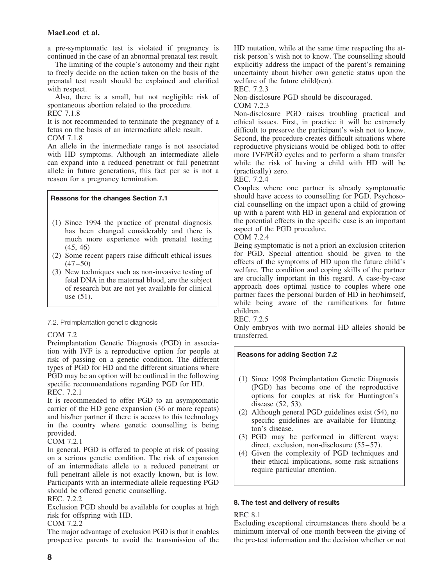a pre-symptomatic test is violated if pregnancy is continued in the case of an abnormal prenatal test result.

The limiting of the couple's autonomy and their right to freely decide on the action taken on the basis of the prenatal test result should be explained and clarified with respect.

Also, there is a small, but not negligible risk of spontaneous abortion related to the procedure. REC 7.1.8

It is not recommended to terminate the pregnancy of a fetus on the basis of an intermediate allele result.

COM 7.1.8

An allele in the intermediate range is not associated with HD symptoms. Although an intermediate allele can expand into a reduced penetrant or full penetrant allele in future generations, this fact per se is not a reason for a pregnancy termination.

# **Reasons for the changes Section 7.1**

- (1) Since 1994 the practice of prenatal diagnosis has been changed considerably and there is much more experience with prenatal testing (45, 46)
- (2) Some recent papers raise difficult ethical issues  $(47-50)$
- (3) New techniques such as non-invasive testing of fetal DNA in the maternal blood, are the subject of research but are not yet available for clinical use (51).

# 7.2. Preimplantation genetic diagnosis

# COM 7.2

Preimplantation Genetic Diagnosis (PGD) in association with IVF is a reproductive option for people at risk of passing on a genetic condition. The different types of PGD for HD and the different situations where PGD may be an option will be outlined in the following specific recommendations regarding PGD for HD. REC. 7.2.1

It is recommended to offer PGD to an asymptomatic carrier of the HD gene expansion (36 or more repeats) and his/her partner if there is access to this technology in the country where genetic counselling is being provided.

# COM 7.2.1

In general, PGD is offered to people at risk of passing on a serious genetic condition. The risk of expansion of an intermediate allele to a reduced penetrant or full penetrant allele is not exactly known, but is low. Participants with an intermediate allele requesting PGD should be offered genetic counselling.

#### REC. 7.2.2

Exclusion PGD should be available for couples at high risk for offspring with HD.

#### COM 7.2.2

The major advantage of exclusion PGD is that it enables prospective parents to avoid the transmission of the HD mutation, while at the same time respecting the atrisk person's wish not to know. The counselling should explicitly address the impact of the parent's remaining uncertainty about his/her own genetic status upon the welfare of the future child(ren).

REC. 7.2.3

Non-disclosure PGD should be discouraged.

COM 7.2.3

Non-disclosure PGD raises troubling practical and ethical issues. First, in practice it will be extremely difficult to preserve the participant's wish not to know. Second, the procedure creates difficult situations where reproductive physicians would be obliged both to offer more IVF/PGD cycles and to perform a sham transfer while the risk of having a child with HD will be (practically) zero.

REC. 7.2.4

Couples where one partner is already symptomatic should have access to counselling for PGD. Psychosocial counselling on the impact upon a child of growing up with a parent with HD in general and exploration of the potential effects in the specific case is an important aspect of the PGD procedure.

COM 7.2.4

Being symptomatic is not a priori an exclusion criterion for PGD. Special attention should be given to the effects of the symptoms of HD upon the future child's welfare. The condition and coping skills of the partner are crucially important in this regard. A case-by-case approach does optimal justice to couples where one partner faces the personal burden of HD in her/himself, while being aware of the ramifications for future children.



Only embryos with two normal HD alleles should be transferred.

# **Reasons for adding Section 7.2**

- (1) Since 1998 Preimplantation Genetic Diagnosis (PGD) has become one of the reproductive options for couples at risk for Huntington's disease (52, 53).
- (2) Although general PGD guidelines exist (54), no specific guidelines are available for Huntington's disease.
- (3) PGD may be performed in different ways: direct, exclusion, non-disclosure (55–57).
- (4) Given the complexity of PGD techniques and their ethical implications, some risk situations require particular attention.

# **8. The test and delivery of results**

# REC 8.1

Excluding exceptional circumstances there should be a minimum interval of one month between the giving of the pre-test information and the decision whether or not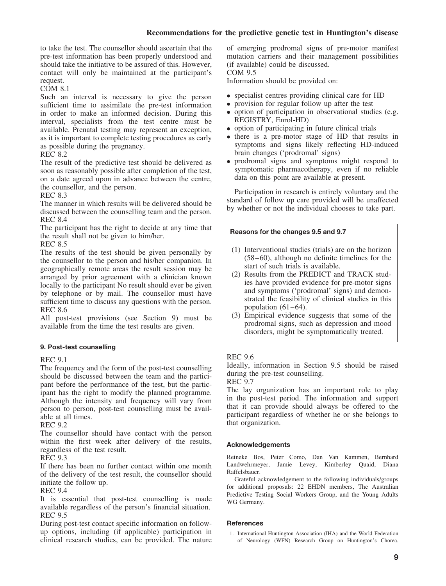to take the test. The counsellor should ascertain that the pre-test information has been properly understood and should take the initiative to be assured of this. However, contact will only be maintained at the participant's request.

COM 8.1

Such an interval is necessary to give the person sufficient time to assimilate the pre-test information in order to make an informed decision. During this interval, specialists from the test centre must be available. Prenatal testing may represent an exception, as it is important to complete testing procedures as early as possible during the pregnancy.

REC 8.2

The result of the predictive test should be delivered as soon as reasonably possible after completion of the test, on a date agreed upon in advance between the centre, the counsellor, and the person.

REC 8.3

The manner in which results will be delivered should be discussed between the counselling team and the person. REC 8.4

The participant has the right to decide at any time that the result shall not be given to him/her.

REC 8.5

The results of the test should be given personally by the counsellor to the person and his/her companion. In geographically remote areas the result session may be arranged by prior agreement with a clinician known locally to the participant No result should ever be given by telephone or by mail. The counsellor must have sufficient time to discuss any questions with the person. REC 8.6

All post-test provisions (see Section 9) must be available from the time the test results are given.

#### **9. Post-test counselling**

REC 9.1

The frequency and the form of the post-test counselling should be discussed between the team and the participant before the performance of the test, but the participant has the right to modify the planned programme. Although the intensity and frequency will vary from person to person, post-test counselling must be available at all times.

REC 9.2

The counsellor should have contact with the person within the first week after delivery of the results, regardless of the test result.

REC 9.3

If there has been no further contact within one month of the delivery of the test result, the counsellor should initiate the follow up.

REC 9.4

It is essential that post-test counselling is made available regardless of the person's financial situation. REC 9.5

During post-test contact specific information on followup options, including (if applicable) participation in clinical research studies, can be provided. The nature of emerging prodromal signs of pre-motor manifest mutation carriers and their management possibilities (if available) could be discussed.  $COM<sub>95</sub>$ 

Information should be provided on:

- specialist centres providing clinical care for HD
- provision for regular follow up after the test
- option of participation in observational studies (e.g. REGISTRY, Enrol-HD)
- option of participating in future clinical trials
- there is a pre-motor stage of HD that results in symptoms and signs likely reflecting HD-induced brain changes ('prodromal' signs)
- prodromal signs and symptoms might respond to symptomatic pharmacotherapy, even if no reliable data on this point are available at present.

Participation in research is entirely voluntary and the standard of follow up care provided will be unaffected by whether or not the individual chooses to take part.

#### **Reasons for the changes 9.5 and 9.7**

- (1) Interventional studies (trials) are on the horizon (58–60), although no definite timelines for the start of such trials is available.
- (2) Results from the PREDICT and TRACK studies have provided evidence for pre-motor signs and symptoms ('prodromal' signs) and demonstrated the feasibility of clinical studies in this population  $(61–64)$ .
- (3) Empirical evidence suggests that some of the prodromal signs, such as depression and mood disorders, might be symptomatically treated.

#### REC 9.6

Ideally, information in Section 9.5 should be raised during the pre-test counselling.

REC 9.7

The lay organization has an important role to play in the post-test period. The information and support that it can provide should always be offered to the participant regardless of whether he or she belongs to that organization.

#### **Acknowledgements**

Reineke Bos, Peter Como, Dan Van Kammen, Bernhard Landwehrmeyer, Jamie Levey, Kimberley Quaid, Diana Raffelsbauer.

Grateful acknowledgement to the following individuals/groups for additional proposals: 22 EHDN members, The Australian Predictive Testing Social Workers Group, and the Young Adults WG Germany.

#### **References**

1. International Huntington Association (IHA) and the World Federation of Neurology (WFN) Research Group on Huntington's Chorea.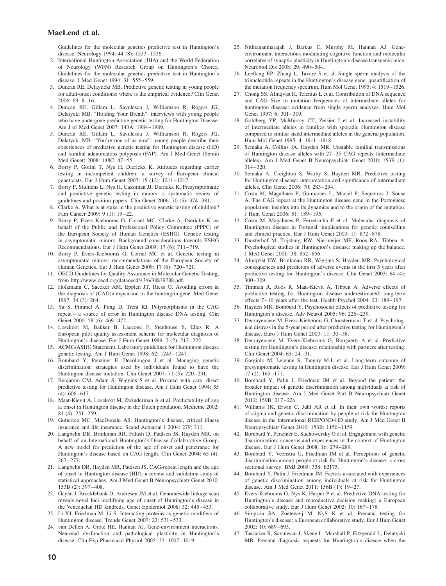Guidelines for the molecular genetics predictive test in Huntington's disease. Neurology 1994: 44 (8): 1533–1536.

- 2. International Huntington Association (IHA) and the World Federation of Neurology (WFN) Research Group on Huntington's Chorea. Guidelines for the molecular genetics predictive test in Huntington's disease. J Med Genet 1994: 31: 555–559.
- 3. Duncan RE, Delayticki MB. Predictive genetic testing in young people for adult-onset conditions: where is the empirical evidence? Clin Genet  $2006: 69: 8-16$
- 4. Duncan RE, Gillam L, Savulescu J, Williamson R, Rogers JG, Delatycki MB. "Holding Your Breath": interviews with young people who have undergone predictive genetic testing for Huntington Disease. Am J of Med Genet 2007: 143A: 1984–1989.
- 5. Duncan RE, Gillam L, Savulescu J, Williamson R, Rogers JG, Delatycki MB. "You're one of us now": young people describe their experiences of predictive genetic testing for Huntington disease (HD) and familial adenomatous polyposis (FAP). Am J Med Genet (Semin Med Genet) 2008: 148C: 47–55.
- 6. Borry P, Goffin T, Nys H, Dierickx K. Attitudes regarding carrier testing in incompetent children: a survey of European clinical geneticists. Eur J Hum Genet 2007: 15 (12): 1211–1217.
- 7. Borry P, Stultiens L, Nys H, Cassiman JJ, Dierickx K. Presymptomatic and predictive genetic testing in minors: a systematic review of guidelines and position papers. Clin Genet 2006: 70 (5): 374–381.
- Clarke A. What is at stake in the predictive genetic testing of children? Fam Cancer 2009: 9 (1): 19–22.
- 9. Borry P, Evers-Kiebooms G, Cornel MC, Clarke A, Dierickx K on behalf of the Public and Professional Policy Committee (PPPC) of the European Society of Human Genetics (ESHG). Genetic testing in asymptomatic minors. Background considerations towards ESHG Recommendations. Eur J Hum Genet 2009: 17 (6): 711–719.
- 10. Borry P, Evers-Kiebooms G, Cornel MC et al. Genetic testing in asymptomatic minors: recommendations of the European Society of Human Genetics. Eur J Hum Genet 2009: 17 (6): 720–721.
- 11. OECD Guidelines for Quality Assurance in Molecular Genetic Testing, from http://www.oecd.org/dataoecd/43/6/38839788.pdf.
- 12. Holzmann C, Saecker AM, Epplen JT, Riess O. Avoiding errors in the diagnosis of (CAG)n expansion in the huntingtin gene. Med Genet 1997: 34 (3): 264.
- 13. Yu S, Fimmel A, Fung D, Trent RJ. Polymorphisms in the CAG repeat – a source of error in Huntington disease DNA testing. Clin Genet 2000: 58 (6): 469-472.
- 14. Losekoot M, Bakker B, Laccone F, Stenhouse S, Elles R. A European pilot quality assessment scheme for molecular diagnosis of Huntington's disease. Eur J Hum Genet 1999: 7 (2): 217–222.
- 15. ACMG/ASHG Statement. Laboratory guidelines for Huntington disease genetic testing. Am J Hum Genet 1998: 62: 1243–1247.
- 16. Bombard Y, Penziner E, Decolongon J et al. Managing genetic discrimination: strategies used by individuals found to have the Huntington disease mutation. Clin Genet 2007: 71 (3): 220–231.
- 17. Benjamin CM, Adam S, Wiggins S et al. Proceed with care: direct predictive testing for Huntington disease. Am J Hum Genet 1994: 55 (4): 606–617.
- 18. Maat-Kievit A, Losekoot M, Zwinderman A et al. Predictability of age at onset in Huntington disease in the Dutch population. Medicine 2002: 81 (4): 251–259.
- 19. Gutierrez MC, MacDonald AS. Huntington's disease, critical illness insurance and life insurance. Scand Actuarial J 2004: 279: 311.
- 20. Langbehn DR, Brinkman RR, Falush D, Paulsen JS, Hayden MR, on behalf of an International Huntington's Disease Collaborative Group. A new model for prediction of the age of onset and penetrance for Huntington's disease based on CAG length. Clin Genet 2004: 65 (4): 267–277.
- 21. Langbehn DR, Hayden MR, Paulsen JS. CAG-repeat length and the age of onset in Huntington disease (HD): a review and validation study of statistical approaches. Am J Med Genet B Neuropsychiatr Genet 2010: 153B (2): 397–408.
- 22. Gayán J, Brocklebank D, Andresen JM et al. Genomewide linkage scan reveals novel loci modifying age of onset of Huntington's disease in the Venezuelan HD kindreds. Genet Epidemiol 2008: 32: 445–453.
- 23. Li XJ, Friedman M, Li S. Interacting proteins as genetic modifiers of Huntington disease. Trends Genet 2007: 23: 531–533.
- 24. van Dellen A, Grote HE, Hannan AJ. Gene-environment interactions. Neuronal dysfunction and pathological plasticity in Huntington's disease. Clin Exp Pharmacol Physiol 2005: 32: 1007–1019.
- 25. Nithianantharajah J, Barkus C, Murphy M, Hannan AJ. Geneenvironment interactions modulating cognitive function and molecular correlates of synaptic plasticity in Huntington's disease transgenic mice. Neurobiol Dis 2008: 29: 490–504.
- 26. Leeflang EP, Zhang L, Tavare S et al. Single sperm analysis of the trinucleotide repeats in the Huntington's disease gene: quantification of the mutation frequency spectrum. Hum Mol Genet 1995: 4: 1519–1526.
- 27. Chong SS, Almqvist H, Telenius L et al. Contribution of DNA sequence and CAG Size to mutation frequencies of intermediate alleles for huntington disease: evidence from single sperm analyses. Hum Mol Genet 1997: 6: 301–309.
- 28. Goldberg YP, McMurray CT, Zeisier J et al. Increased instability of intermediate alleles in families with sporadic Huntington disease compared to similar sized intermediate alleles in the general population. Hum Mol Genet 1995: 4: 1911–1918.
- 29. Semaka A, Collins JA, Hayden MR. Unstable familial transmissions of Huntington disease alleles with 27–35 CAG repeats (intermediate alleles). Am J Med Genet B Neuropsychiatr Genet 2010: 153B (1): 314–320.
- 30. Semaka A, Creighton S, Warby S, Hayden MR. Predictive testing for Huntington disease: interpretation and significance of intermediate alleles. Clin Genet 2006: 70: 283–294.
- 31. Costa M, Magalhães P, Guimarães L, Maciel P, Sequeiros J, Sousa A. The CAG repeat at the Huntington disease gene in the Portuguese population: insights into its dynamics and to the origin of the mutation. J Hum Genet 2006: 51: 189–195.
- 32. Costa M, Magalhães P, Ferreirinha F et al. Molecular diagnosis of Huntington disease in Portugal: implications for genetic counselling and clinical practice. Eur J Hum Genet 2003: 11: 872–878.
- 33. Duisterhof M, Trijsburg RW, Niermeijer MF, Roos RA, Tibben A. Psychological studies in Huntington's disease: making up the balance. J Med Genet 2001: 38: 852–856.
- 34. Almqvist EW, Brinkman RR, Wiggins S, Hayden MR. Psychological consequences and predictors of adverse events in the first 5 years after predictive testing for Huntington's disease. Clin Genet 2003: 64 (4): 300–309.
- 35. Timman R, Roos R, Maat-Kievit A, Tibben A. Adverse effects of predictive testing for Huntington disease underestimated: long-term effects 7–10 years after the test. Health Psychol 2004: 23: 189–197.
- 36. Hayden MR, Bombard Y. Psychosocial effects of predictive testing for Huntington's disease. Adv Neurol 2005: 96: 226–239.
- 37. Decruyenaere M, Evers-Kiebooms G, Cloostermans T et al. Psychological distress in the 5-year period after predictive testing for Huntington's disease. Euro J Hum Genet 2003: 11: 30–38.
- 38. Decruyenaere M, Evers-Kiebooms G, Boogaerts A et al. Predictive testing for Huntington's disease: relationship with partners after testing. Clin Genet 2004: 65: 24–31.
- 39. Gargiulo M, Lejeune S, Tanguy M-L et al. Long-term outcome of presymptomatic testing in Huntington disease. Eur J Hum Genet 2009: 17 (2): 165–171.
- 40. Bombard Y, Palin J, Friedman JM et al. Beyond the patient: the broader impact of genetic discrimination among individuals at risk of Huntington disease. Am J Med Genet Part B Neuropsychiatr Genet 2012: 159B: 217–226.
- 41. Williams JK, Erwin C, Juhl AR et al. In their own words: reports of stigma and genetic discrimination by people at risk for Huntington disease in the International RESPOND-HD study. Am J Med Genet B Neuropsychiatr Genet 2010: 153B: 1150–1159.
- Bombard Y, Penziner E, Suchowersky O et al. Engagement with genetic discrimination: concerns and experiences in the context of Huntington disease. Eur J Hum Genet 2008: 16: 279–289.
- 43. Bombard Y, Veenstra G, Friedman JM et al. Perceptions of genetic discrimination among people at risk for Huntington's disease: a cross sectional survey. BMJ 2009: 338: b2175.
- 44. Bombard Y, Palin J, Friedman JM. Factors associated with experiences of genetic discrimination among individuals at risk for Huntington disease. Am J Med Genet 2011: 156B (1): 19–27.
- 45. Evers-Kiebooms G, Nys K, Harper P et al. Predictive DNA-testing for Huntington's disease and reproductive decision making: a European collaborative study. Eur J Hum Genet 2002: 10: 167–176.
- 46. Simpson SA, Zoeteweij M, NyS K et al. Prenatal testing for Huntington's disease: a European collaborative study. Eur J Hum Genet 2002: 10: 689–693.
- 47. Tassicker R, Savulescu J, Skene L, Marshall P, Fitzgerald L, Delatycki MB. Prenatal diagnosis requests for Huntington's disease when the